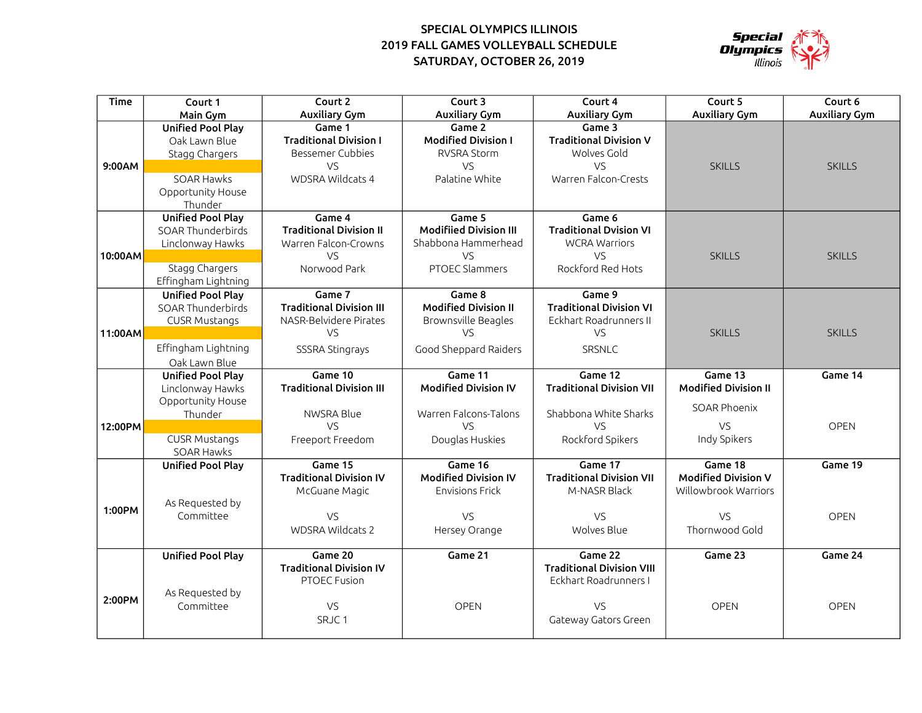## SPECIAL OLYMPICS ILLINOIS 2019 FALL GAMES VOLLEYBALL SCHEDULE SATURDAY, OCTOBER 26, 2019



| Time    | Court 1                  | Court 2                         | Court 3                       | Court 4                          | Court 5                     | Court 6              |
|---------|--------------------------|---------------------------------|-------------------------------|----------------------------------|-----------------------------|----------------------|
|         | Main Gym                 | <b>Auxiliary Gym</b>            | <b>Auxiliary Gym</b>          | <b>Auxiliary Gym</b>             | <b>Auxiliary Gym</b>        | <b>Auxiliary Gym</b> |
|         | <b>Unified Pool Play</b> | Game 1                          | Game 2                        | Game 3                           |                             |                      |
|         | Oak Lawn Blue            | <b>Traditional Division I</b>   | <b>Modified Division I</b>    | <b>Traditional Division V</b>    |                             |                      |
|         | Stagg Chargers           | <b>Bessemer Cubbies</b>         | <b>RVSRA Storm</b>            | Wolves Gold                      |                             |                      |
| 9:00AM  |                          | <b>VS</b>                       | VS.                           | VS                               | <b>SKILLS</b>               | <b>SKILLS</b>        |
|         | <b>SOAR Hawks</b>        | WDSRA Wildcats 4                | Palatine White                | Warren Falcon-Crests             |                             |                      |
|         | Opportunity House        |                                 |                               |                                  |                             |                      |
|         | Thunder                  |                                 |                               |                                  |                             |                      |
|         | <b>Unified Pool Play</b> | Game 4                          | Game 5                        | Game 6                           |                             |                      |
|         | <b>SOAR Thunderbirds</b> | <b>Traditional Division II</b>  | <b>Modifiied Division III</b> | <b>Traditional Dvision VI</b>    |                             |                      |
|         | Linclonway Hawks         | Warren Falcon-Crowns            | Shabbona Hammerhead           | <b>WCRA Warriors</b>             |                             |                      |
| 10:00AM |                          | VS                              | VS                            | VS                               | <b>SKILLS</b>               | <b>SKILLS</b>        |
|         | Stagg Chargers           | Norwood Park                    | <b>PTOEC Slammers</b>         | Rockford Red Hots                |                             |                      |
|         | Effingham Lightning      |                                 |                               |                                  |                             |                      |
|         | <b>Unified Pool Play</b> | Game 7                          | Game 8                        | Game 9                           |                             |                      |
|         | SOAR Thunderbirds        | <b>Traditional Division III</b> | <b>Modified Division II</b>   | <b>Traditional Division VI</b>   |                             |                      |
|         | <b>CUSR Mustangs</b>     | NASR-Belvidere Pirates          | Brownsville Beagles           | Eckhart Roadrunners II           |                             |                      |
| 11:00AM |                          | VS                              | VS.                           | VS                               | <b>SKILLS</b>               | <b>SKILLS</b>        |
|         | Effingham Lightning      | SSSRA Stingrays                 | Good Sheppard Raiders         | SRSNLC                           |                             |                      |
|         | Oak Lawn Blue            |                                 |                               |                                  |                             |                      |
|         | <b>Unified Pool Play</b> | Game 10                         | Game 11                       | Game 12                          | Game 13                     | Game 14              |
|         | Linclonway Hawks         | <b>Traditional Division III</b> | <b>Modified Division IV</b>   | <b>Traditional Division VII</b>  | <b>Modified Division II</b> |                      |
|         | Opportunity House        |                                 |                               |                                  |                             |                      |
|         | Thunder                  | NWSRA Blue                      | Warren Falcons-Talons         | Shabbona White Sharks            | <b>SOAR Phoenix</b>         |                      |
| 12:00PM |                          | VS                              | VS.                           | VS.                              | VS                          | <b>OPEN</b>          |
|         | <b>CUSR Mustangs</b>     | Freeport Freedom                | Douglas Huskies               | Rockford Spikers                 | Indy Spikers                |                      |
|         | SOAR Hawks               |                                 |                               |                                  |                             |                      |
|         | <b>Unified Pool Play</b> | Game 15                         | Game 16                       | Game 17                          | Game 18                     | Game 19              |
|         |                          | <b>Traditional Division IV</b>  | <b>Modified Division IV</b>   | <b>Traditional Division VII</b>  | <b>Modified Division V</b>  |                      |
|         |                          | McGuane Magic                   | Envisions Frick               | M-NASR Black                     | Willowbrook Warriors        |                      |
| 1:00PM  | As Requested by          |                                 |                               |                                  |                             |                      |
|         | Committee                | VS                              | VS                            | VS                               | VS                          | <b>OPEN</b>          |
|         |                          | WDSRA Wildcats 2                | Hersey Orange                 | Wolves Blue                      | Thornwood Gold              |                      |
|         | <b>Unified Pool Play</b> | Game 20                         | Game 21                       | Game 22                          | Game 23                     | Game 24              |
|         |                          | <b>Traditional Division IV</b>  |                               | <b>Traditional Division VIII</b> |                             |                      |
|         |                          | PTOEC Fusion                    |                               | Eckhart Roadrunners I            |                             |                      |
|         | As Requested by          |                                 |                               |                                  |                             |                      |
| 2:00PM  | Committee                | VS                              | OPEN                          | VS                               | <b>OPEN</b>                 | <b>OPEN</b>          |
|         |                          | SRJC1                           |                               | Gateway Gators Green             |                             |                      |
|         |                          |                                 |                               |                                  |                             |                      |
|         |                          |                                 |                               |                                  |                             |                      |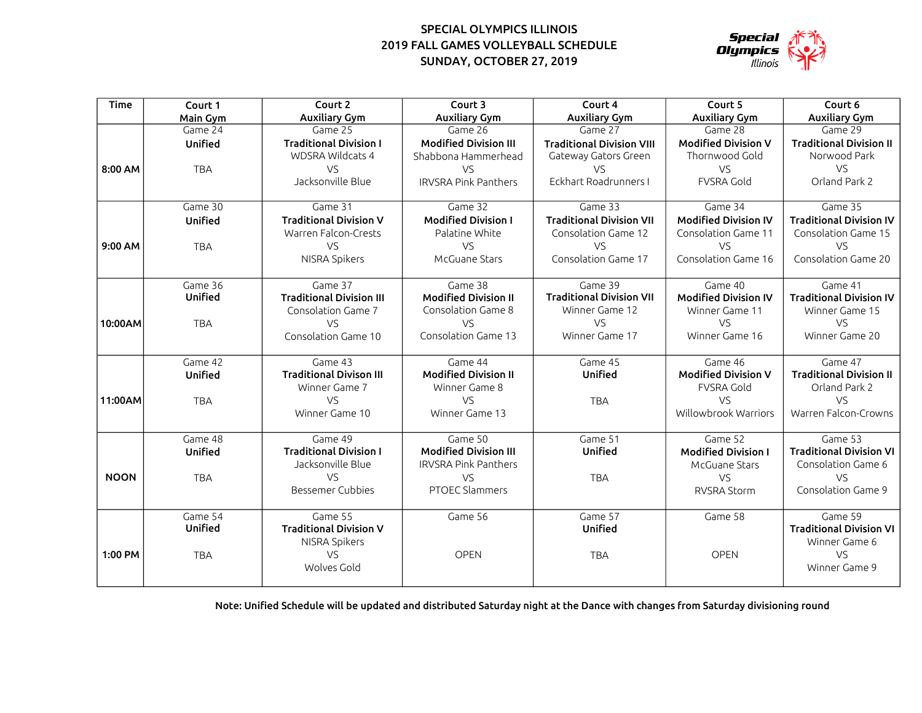## SUNDAY, OCTOBER 27, 2019 SPECIAL OLYMPICS ILLINOIS 2019 FALL GAMES VOLLEYBALL SCHEDULE



| <b>Time</b> | Court 1    | Court 2                         | Court 3                      | Court 4                          | Court 5                     | Court 6                        |
|-------------|------------|---------------------------------|------------------------------|----------------------------------|-----------------------------|--------------------------------|
|             | Main Gym   | <b>Auxiliary Gym</b>            | <b>Auxiliary Gym</b>         | <b>Auxiliary Gym</b>             | <b>Auxiliary Gym</b>        | <b>Auxiliary Gym</b>           |
|             | Game 24    | Game 25                         | Game 26                      | Game 27                          | Game 28                     | Game 29                        |
|             | Unified    | <b>Traditional Division I</b>   | <b>Modified Division III</b> | <b>Traditional Division VIII</b> | <b>Modified Division V</b>  | <b>Traditional Division II</b> |
|             |            | <b>WDSRA Wildcats 4</b>         | Shabbona Hammerhead          | Gateway Gators Green             | Thornwood Gold              | Norwood Park                   |
| 8:00 AM     | <b>TBA</b> | VS                              | VS.                          | <b>VS</b>                        | VS                          | VS                             |
|             |            | Jacksonville Blue               | <b>IRVSRA Pink Panthers</b>  | Eckhart Roadrunners I            | <b>FVSRA Gold</b>           | Orland Park 2                  |
|             | Game 30    | Game 31                         | Game 32                      | Game 33                          | Game 34                     | Game 35                        |
|             | Unified    | <b>Traditional Division V</b>   | <b>Modified Division I</b>   | <b>Traditional Division VII</b>  | <b>Modified Division IV</b> | <b>Traditional Division IV</b> |
|             |            | Warren Falcon-Crests            | Palatine White               | Consolation Game 12              | Consolation Game 11         | Consolation Game 15            |
| 9:00 AM     | <b>TBA</b> | VS                              | VS                           | VS                               | <b>VS</b>                   | VS                             |
|             |            | NISRA Spikers                   | McGuane Stars                | Consolation Game 17              | Consolation Game 16         | Consolation Game 20            |
|             |            |                                 |                              |                                  |                             |                                |
|             | Game 36    | Game 37                         | Game 38                      | Game 39                          | Game 40                     | Game 41                        |
|             | Unified    | <b>Traditional Division III</b> | <b>Modified Division II</b>  | <b>Traditional Division VII</b>  | <b>Modified Division IV</b> | <b>Traditional Division IV</b> |
|             |            | Consolation Game 7              | Consolation Game 8           | Winner Game 12                   | Winner Game 11              | Winner Game 15                 |
| 10:00AM     | <b>TBA</b> | VS.                             | <b>VS</b>                    | VS                               | <b>VS</b>                   | VS                             |
|             |            | Consolation Game 10             | Consolation Game 13          | Winner Game 17                   | Winner Game 16              | Winner Game 20                 |
|             | Game 42    | Game 43                         | Game 44                      | Game 45                          | Game 46                     | Game 47                        |
|             | Unified    | <b>Traditional Divison III</b>  | <b>Modified Division II</b>  | Unified                          | <b>Modified Division V</b>  | <b>Traditional Division II</b> |
|             |            | Winner Game 7                   | Winner Game 8                |                                  | <b>FVSRA Gold</b>           | Orland Park 2                  |
| 11:00AM     | <b>TBA</b> | VS                              | <b>VS</b>                    | <b>TBA</b>                       | VS                          | VS                             |
|             |            | Winner Game 10                  | Winner Game 13               |                                  | Willowbrook Warriors        | Warren Falcon-Crowns           |
|             |            |                                 |                              |                                  |                             |                                |
|             | Game 48    | Game 49                         | Game 50                      | Game 51                          | Game 52                     | Game 53                        |
|             | Unified    | <b>Traditional Division I</b>   | <b>Modified Division III</b> | Unified                          | <b>Modified Division I</b>  | <b>Traditional Division VI</b> |
|             |            | Jacksonville Blue               | <b>IRVSRA Pink Panthers</b>  |                                  | McGuane Stars               | Consolation Game 6             |
| <b>NOON</b> | <b>TBA</b> | VS                              | <b>VS</b>                    | <b>TBA</b>                       | VS                          | VS                             |
|             |            | <b>Bessemer Cubbies</b>         | PTOEC Slammers               |                                  | <b>RVSRA Storm</b>          | Consolation Game 9             |
|             | Game 54    | Game 55                         | Game 56                      | Game 57                          | Game 58                     | Game 59                        |
|             | Unified    | <b>Traditional Division V</b>   |                              | Unified                          |                             | <b>Traditional Division VI</b> |
|             |            | NISRA Spikers                   |                              |                                  |                             | Winner Game 6                  |
| 1:00 PM     | <b>TBA</b> | VS                              | <b>OPEN</b>                  | <b>TBA</b>                       | <b>OPEN</b>                 | VS                             |
|             |            | Wolves Gold                     |                              |                                  |                             | Winner Game 9                  |
|             |            |                                 |                              |                                  |                             |                                |

Note: Unified Schedule will be updated and distributed Saturday night at the Dance with changes from Saturday divisioning round